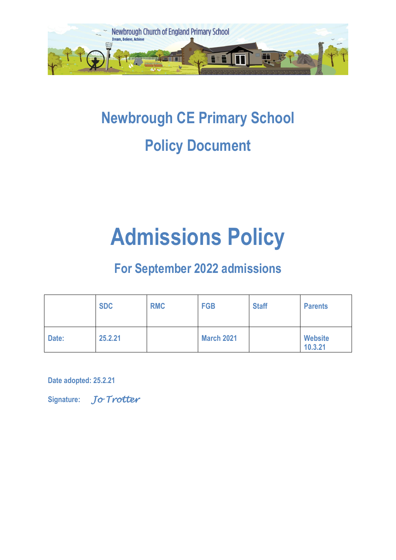

## **Newbrough CE Primary School Policy Document**

# **Admissions Policy**

### **For September 2022 admissions**

|       | <b>SDC</b> | <b>RMC</b> | <b>FGB</b>        | <b>Staff</b> | <b>Parents</b>            |
|-------|------------|------------|-------------------|--------------|---------------------------|
| Date: | 25.2.21    |            | <b>March 2021</b> |              | <b>Website</b><br>10.3.21 |

**Date adopted: 25.2.21** 

**Signature:** *Jo Trotter*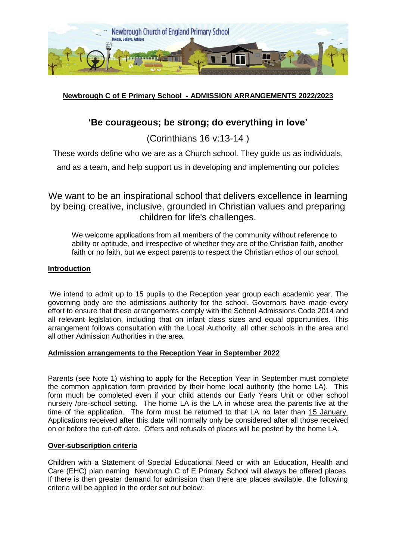

#### **Newbrough C of E Primary School - ADMISSION ARRANGEMENTS 2022/2023**

#### **'Be courageous; be strong; do everything in love'**

(Corinthians 16 v:13-14 )

These words define who we are as a Church school. They guide us as individuals,

and as a team, and help support us in developing and implementing our policies

We want to be an inspirational school that delivers excellence in learning by being creative, inclusive, grounded in Christian values and preparing children for life's challenges.

We welcome applications from all members of the community without reference to ability or aptitude, and irrespective of whether they are of the Christian faith, another faith or no faith, but we expect parents to respect the Christian ethos of our school.

#### **Introduction**

We intend to admit up to 15 pupils to the Reception year group each academic year. The governing body are the admissions authority for the school. Governors have made every effort to ensure that these arrangements comply with the School Admissions Code 2014 and all relevant legislation, including that on infant class sizes and equal opportunities. This arrangement follows consultation with the Local Authority, all other schools in the area and all other Admission Authorities in the area.

#### **Admission arrangements to the Reception Year in September 2022**

Parents (see Note 1) wishing to apply for the Reception Year in September must complete the common application form provided by their home local authority (the home LA). This form much be completed even if your child attends our Early Years Unit or other school nursery /pre-school setting. The home LA is the LA in whose area the parents live at the time of the application. The form must be returned to that LA no later than 15 January. Applications received after this date will normally only be considered after all those received on or before the cut-off date. Offers and refusals of places will be posted by the home LA.

#### **Over-subscription criteria**

Children with a Statement of Special Educational Need or with an Education, Health and Care (EHC) plan naming Newbrough C of E Primary School will always be offered places. If there is then greater demand for admission than there are places available, the following criteria will be applied in the order set out below: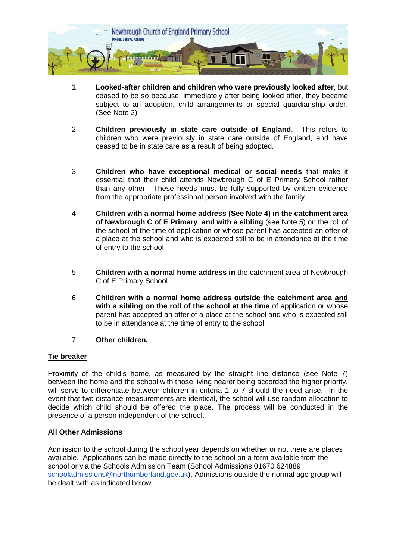

- **1 Looked-after children and children who were previously looked after**, but ceased to be so because, immediately after being looked after, they became subject to an adoption, child arrangements or special guardianship order. (See Note 2)
- 2 **Children previously in state care outside of England**. This refers to children who were previously in state care outside of England, and have ceased to be in state care as a result of being adopted.
- 3 **Children who have exceptional medical or social needs** that make it essential that their child attends Newbrough C of E Primary School rather than any other. These needs must be fully supported by written evidence from the appropriate professional person involved with the family.
- 4 **Children with a normal home address (See Note 4) in the catchment area of Newbrough C of E Primary and with a sibling** (see Note 5) on the roll of the school at the time of application or whose parent has accepted an offer of a place at the school and who is expected still to be in attendance at the time of entry to the school
- 5 **Children with a normal home address in** the catchment area of Newbrough C of E Primary School
- 6 **Children with a normal home address outside the catchment area and with a sibling on the roll of the school at the time** of application or whose parent has accepted an offer of a place at the school and who is expected still to be in attendance at the time of entry to the school
- 7 **Other children.**

#### **Tie breaker**

Proximity of the child's home, as measured by the straight line distance (see Note 7) between the home and the school with those living nearer being accorded the higher priority, will serve to differentiate between children in criteria 1 to 7 should the need arise. In the event that two distance measurements are identical, the school will use random allocation to decide which child should be offered the place. The process will be conducted in the presence of a person independent of the school.

#### **All Other Admissions**

Admission to the school during the school year depends on whether or not there are places available. Applications can be made directly to the school on a form available from the school or via the Schools Admission Team (School Admissions 01670 624889 [schooladmissions@northumberland.gov.uk\)](mailto:schooladmissions@northumberland.gov.uk). Admissions outside the normal age group will be dealt with as indicated below.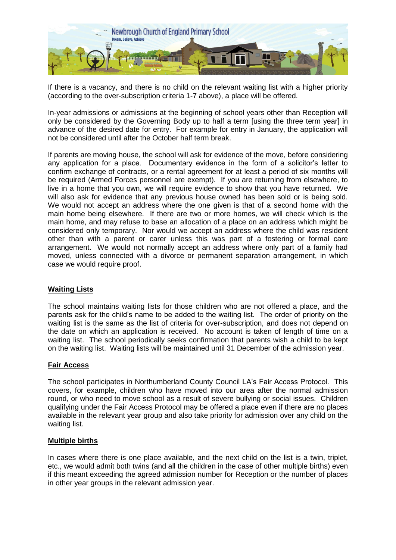

If there is a vacancy, and there is no child on the relevant waiting list with a higher priority (according to the over-subscription criteria 1-7 above), a place will be offered.

In-year admissions or admissions at the beginning of school years other than Reception will only be considered by the Governing Body up to half a term [using the three term year] in advance of the desired date for entry. For example for entry in January, the application will not be considered until after the October half term break.

If parents are moving house, the school will ask for evidence of the move, before considering any application for a place. Documentary evidence in the form of a solicitor's letter to confirm exchange of contracts, or a rental agreement for at least a period of six months will be required (Armed Forces personnel are exempt). If you are returning from elsewhere, to live in a home that you own, we will require evidence to show that you have returned. We will also ask for evidence that any previous house owned has been sold or is being sold. We would not accept an address where the one given is that of a second home with the main home being elsewhere. If there are two or more homes, we will check which is the main home, and may refuse to base an allocation of a place on an address which might be considered only temporary. Nor would we accept an address where the child was resident other than with a parent or carer unless this was part of a fostering or formal care arrangement. We would not normally accept an address where only part of a family had moved, unless connected with a divorce or permanent separation arrangement, in which case we would require proof.

#### **Waiting Lists**

The school maintains waiting lists for those children who are not offered a place, and the parents ask for the child's name to be added to the waiting list. The order of priority on the waiting list is the same as the list of criteria for over-subscription, and does not depend on the date on which an application is received. No account is taken of length of time on a waiting list. The school periodically seeks confirmation that parents wish a child to be kept on the waiting list. Waiting lists will be maintained until 31 December of the admission year.

#### **Fair Access**

The school participates in Northumberland County Council LA's Fair Access Protocol. This covers, for example, children who have moved into our area after the normal admission round, or who need to move school as a result of severe bullying or social issues. Children qualifying under the Fair Access Protocol may be offered a place even if there are no places available in the relevant year group and also take priority for admission over any child on the waiting list.

#### **Multiple births**

In cases where there is one place available, and the next child on the list is a twin, triplet, etc., we would admit both twins (and all the children in the case of other multiple births) even if this meant exceeding the agreed admission number for Reception or the number of places in other year groups in the relevant admission year.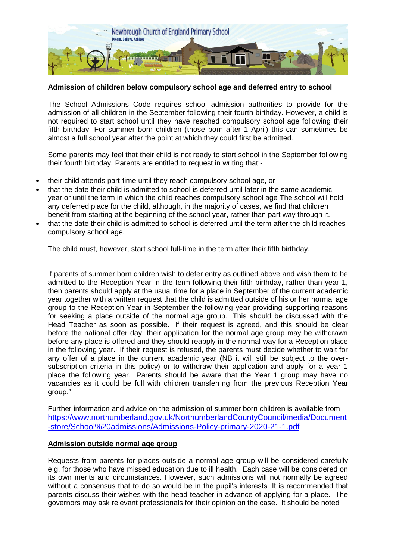

#### **Admission of children below compulsory school age and deferred entry to school**

The School Admissions Code requires school admission authorities to provide for the admission of all children in the September following their fourth birthday. However, a child is not required to start school until they have reached compulsory school age following their fifth birthday. For summer born children (those born after 1 April) this can sometimes be almost a full school year after the point at which they could first be admitted.

Some parents may feel that their child is not ready to start school in the September following their fourth birthday. Parents are entitled to request in writing that:-

- their child attends part-time until they reach compulsory school age, or
- that the date their child is admitted to school is deferred until later in the same academic year or until the term in which the child reaches compulsory school age The school will hold any deferred place for the child, although, in the majority of cases, we find that children benefit from starting at the beginning of the school year, rather than part way through it.
- that the date their child is admitted to school is deferred until the term after the child reaches compulsory school age.

The child must, however, start school full-time in the term after their fifth birthday.

If parents of summer born children wish to defer entry as outlined above and wish them to be admitted to the Reception Year in the term following their fifth birthday, rather than year 1, then parents should apply at the usual time for a place in September of the current academic year together with a written request that the child is admitted outside of his or her normal age group to the Reception Year in September the following year providing supporting reasons for seeking a place outside of the normal age group. This should be discussed with the Head Teacher as soon as possible. If their request is agreed, and this should be clear before the national offer day, their application for the normal age group may be withdrawn before any place is offered and they should reapply in the normal way for a Reception place in the following year. If their request is refused, the parents must decide whether to wait for any offer of a place in the current academic year (NB it will still be subject to the oversubscription criteria in this policy) or to withdraw their application and apply for a year 1 place the following year. Parents should be aware that the Year 1 group may have no vacancies as it could be full with children transferring from the previous Reception Year group."

Further information and advice on the admission of summer born children is available from [https://www.northumberland.gov.uk/NorthumberlandCountyCouncil/media/Document](https://www.northumberland.gov.uk/NorthumberlandCountyCouncil/media/Document-store/School%20admissions/Admissions-Policy-primary-2020-21-1.pdf) [-store/School%20admissions/Admissions-Policy-primary-2020-21-1.pdf](https://www.northumberland.gov.uk/NorthumberlandCountyCouncil/media/Document-store/School%20admissions/Admissions-Policy-primary-2020-21-1.pdf)

#### **Admission outside normal age group**

Requests from parents for places outside a normal age group will be considered carefully e.g. for those who have missed education due to ill health. Each case will be considered on its own merits and circumstances. However, such admissions will not normally be agreed without a consensus that to do so would be in the pupil's interests. It is recommended that parents discuss their wishes with the head teacher in advance of applying for a place. The governors may ask relevant professionals for their opinion on the case. It should be noted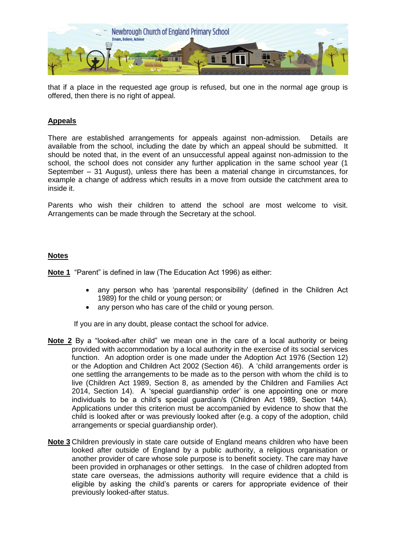

that if a place in the requested age group is refused, but one in the normal age group is offered, then there is no right of appeal.

#### **Appeals**

There are established arrangements for appeals against non-admission. Details are available from the school, including the date by which an appeal should be submitted. It should be noted that, in the event of an unsuccessful appeal against non-admission to the school, the school does not consider any further application in the same school year (1 September – 31 August), unless there has been a material change in circumstances, for example a change of address which results in a move from outside the catchment area to inside it.

Parents who wish their children to attend the school are most welcome to visit. Arrangements can be made through the Secretary at the school.

#### **Notes**

**Note 1** "Parent" is defined in law (The Education Act 1996) as either:

- any person who has 'parental responsibility' (defined in the Children Act 1989) for the child or young person; or
- any person who has care of the child or young person.

If you are in any doubt, please contact the school for advice.

- **Note 2** By a "looked-after child" we mean one in the care of a local authority or being provided with accommodation by a local authority in the exercise of its social services function. An adoption order is one made under the Adoption Act 1976 (Section 12) or the Adoption and Children Act 2002 (Section 46). A 'child arrangements order is one settling the arrangements to be made as to the person with whom the child is to live (Children Act 1989, Section 8, as amended by the Children and Families Act 2014, Section 14). A 'special guardianship order' is one appointing one or more individuals to be a child's special guardian/s (Children Act 1989, Section 14A). Applications under this criterion must be accompanied by evidence to show that the child is looked after or was previously looked after (e.g. a copy of the adoption, child arrangements or special guardianship order).
- **Note 3** Children previously in state care outside of England means children who have been looked after outside of England by a public authority, a religious organisation or another provider of care whose sole purpose is to benefit society. The care may have been provided in orphanages or other settings. In the case of children adopted from state care overseas, the admissions authority will require evidence that a child is eligible by asking the child's parents or carers for appropriate evidence of their previously looked-after status.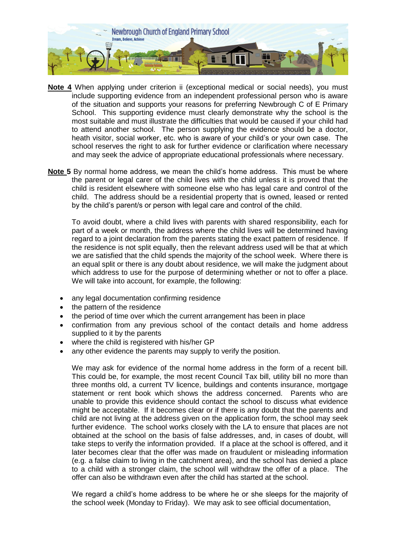

- **Note 4** When applying under criterion ii (exceptional medical or social needs), you must include supporting evidence from an independent professional person who is aware of the situation and supports your reasons for preferring Newbrough C of E Primary School. This supporting evidence must clearly demonstrate why the school is the most suitable and must illustrate the difficulties that would be caused if your child had to attend another school. The person supplying the evidence should be a doctor, heath visitor, social worker, etc. who is aware of your child's or your own case. The school reserves the right to ask for further evidence or clarification where necessary and may seek the advice of appropriate educational professionals where necessary.
- **Note 5** By normal home address, we mean the child's home address. This must be where the parent or legal carer of the child lives with the child unless it is proved that the child is resident elsewhere with someone else who has legal care and control of the child. The address should be a residential property that is owned, leased or rented by the child's parent/s or person with legal care and control of the child.

To avoid doubt, where a child lives with parents with shared responsibility, each for part of a week or month, the address where the child lives will be determined having regard to a joint declaration from the parents stating the exact pattern of residence. If the residence is not split equally, then the relevant address used will be that at which we are satisfied that the child spends the majority of the school week. Where there is an equal split or there is any doubt about residence, we will make the judgment about which address to use for the purpose of determining whether or not to offer a place. We will take into account, for example, the following:

- any legal documentation confirming residence
- the pattern of the residence
- the period of time over which the current arrangement has been in place
- confirmation from any previous school of the contact details and home address supplied to it by the parents
- where the child is registered with his/her GP
- any other evidence the parents may supply to verify the position.

We may ask for evidence of the normal home address in the form of a recent bill. This could be, for example, the most recent Council Tax bill, utility bill no more than three months old, a current TV licence, buildings and contents insurance, mortgage statement or rent book which shows the address concerned. Parents who are unable to provide this evidence should contact the school to discuss what evidence might be acceptable. If it becomes clear or if there is any doubt that the parents and child are not living at the address given on the application form, the school may seek further evidence. The school works closely with the LA to ensure that places are not obtained at the school on the basis of false addresses, and, in cases of doubt, will take steps to verify the information provided. If a place at the school is offered, and it later becomes clear that the offer was made on fraudulent or misleading information (e.g. a false claim to living in the catchment area), and the school has denied a place to a child with a stronger claim, the school will withdraw the offer of a place. The offer can also be withdrawn even after the child has started at the school.

We regard a child's home address to be where he or she sleeps for the majority of the school week (Monday to Friday). We may ask to see official documentation,